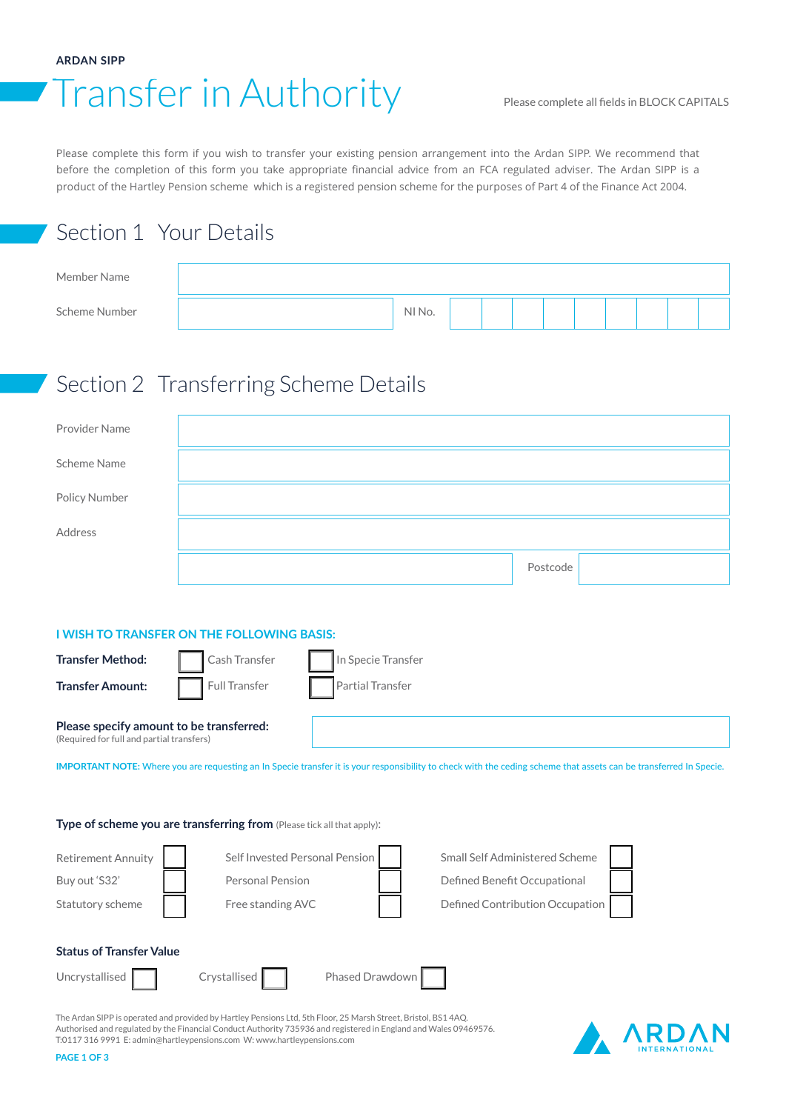#### **ARDAN SIPP**

# Transfer in Authority Please complete all fields in BLOCK CAPITALS

Please complete this form if you wish to transfer your existing pension arrangement into the Ardan SIPP. We recommend that before the completion of this form you take appropriate financial advice from an FCA regulated adviser. The Ardan SIPP is a product of the Hartley Pension scheme which is a registered pension scheme for the purposes of Part 4 of the Finance Act 2004.

## Section 1 Your Details

| Member Name   |        |  |  |  |  |
|---------------|--------|--|--|--|--|
| Scheme Number | NI No. |  |  |  |  |

### Section 2 Transferring Scheme Details

| Provider Name |                                                     |          |
|---------------|-----------------------------------------------------|----------|
| Scheme Name   |                                                     |          |
| Policy Number |                                                     |          |
| Address       |                                                     |          |
|               |                                                     | Postcode |
|               |                                                     |          |
|               | <b>INJUALITATION LIAPPO ALL TUP PALLAWING BAAIC</b> |          |

#### **I WISH TO TRANSFER ON THE FOLLOWING BASIS:**

| <b>Transfer Method:</b>                                                               | Cash Transfer | In Specie Transfer |
|---------------------------------------------------------------------------------------|---------------|--------------------|
| <b>Transfer Amount:</b>                                                               | Full Transfer | Partial Transfer   |
| Please specify amount to be transferred:<br>(Required for full and partial transfers) |               |                    |

**IMPORTANT NOTE:** Where you are requesting an In Specie transfer it is your responsibility to check with the ceding scheme that assets can be transferred In Specie.

**Type of scheme you are transferring from** (Please tick all that apply):



The Ardan SIPP is operated and provided by Hartley Pensions Ltd, 5th Floor, 25 Marsh Street, Bristol, BS1 4AQ. Authorised and regulated by the Financial Conduct Authority 735936 and registered in England and Wales 09469576. T:0117 316 9991 E: admin@hartleypensions.com W: www.hartleypensions.com

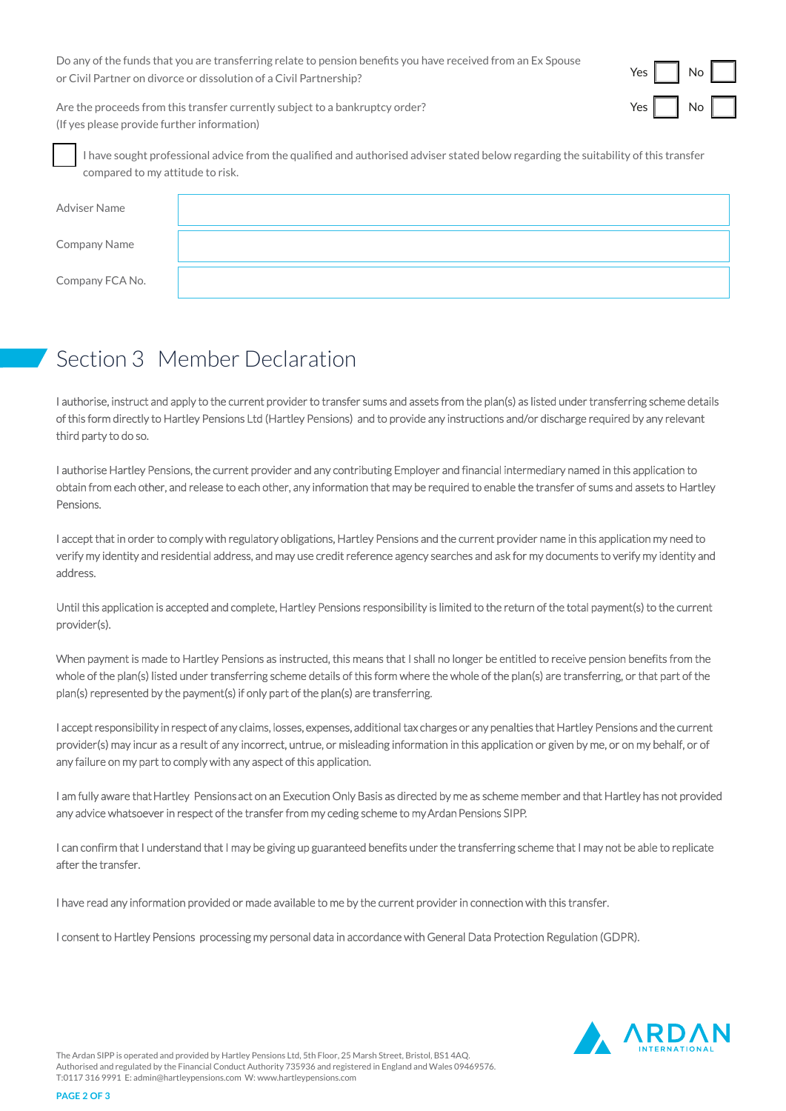Do any of the funds that you are transferring relate to pension benefits you have received from an Ex Spouse or Civil Partner on divorce or dissolution of a Civil Partnership?



Are the proceeds from this transfer currently subject to a bankruptcy order? (If yes please provide further information)

I have sought professional advice from the qualified and authorised adviser stated below regarding the suitability of this transfer compared to my attitude to risk.

| Adviser Name    |  |
|-----------------|--|
| Company Name    |  |
| Company FCA No. |  |

## Section 3 Member Declaration

I authorise, instruct and apply to the current provider to transfer sums and assets from the plan(s) as listed under transferring scheme details of this form directly to Hartley Pensions Ltd (Hartley Pensions) and to provide any instructions and/or discharge required by any relevant third party to do so.

I authorise Hartley Pensions, the current provider and any contributing Employer and financial intermediary named in this application to obtain from each other, and release to each other, any information that may be required to enable the transfer of sums and assets to Hartley Pensions.

I accept that in order to comply with regulatory obligations, Hartley Pensions and the current provider name in this application my need to verify my identity and residential address, and may use credit reference agency searches and ask for my documents to verify my identity and address.

Until this application is accepted and complete, Hartley Pensions responsibility is limited to the return of the total payment(s) to the current provider(s).

When payment is made to Hartley Pensions as instructed, this means that I shall no longer be entitled to receive pension benefits from the whole of the plan(s) listed under transferring scheme details of this form where the whole of the plan(s) are transferring, or that part of the plan(s) represented by the payment(s) if only part of the plan(s) are transferring.

I accept responsibility in respect of any claims, losses, expenses, additional tax charges or any penalties that Hartley Pensions and the current provider(s) may incur as a result of any incorrect, untrue, or misleading information in this application or given by me, or on my behalf, or of any failure on my part to comply with any aspect of this application.

I am fully aware that Hartley Pensions act on an Execution Only Basis as directed by me as scheme member and that Hartley has not provided any advice whatsoever in respect of the transfer from my ceding scheme to my Ardan Pensions SIPP.

I can confirm that I understand that I may be giving up guaranteed benefits under the transferring scheme that I may not be able to replicate after the transfer.

I have read any information provided or made available to me by the current provider in connection with this transfer.

I consent to Hartley Pensions processing my personal data in accordance with General Data Protection Regulation (GDPR).



The Ardan SIPP is operated and provided by Hartley Pensions Ltd, 5th Floor, 25 Marsh Street, Bristol, BS1 4AQ. Authorised and regulated by the Financial Conduct Authority 735936 and registered in England and Wales 09469576. T:0117 316 9991 E: admin@hartleypensions.com W: www.hartleypensions.com